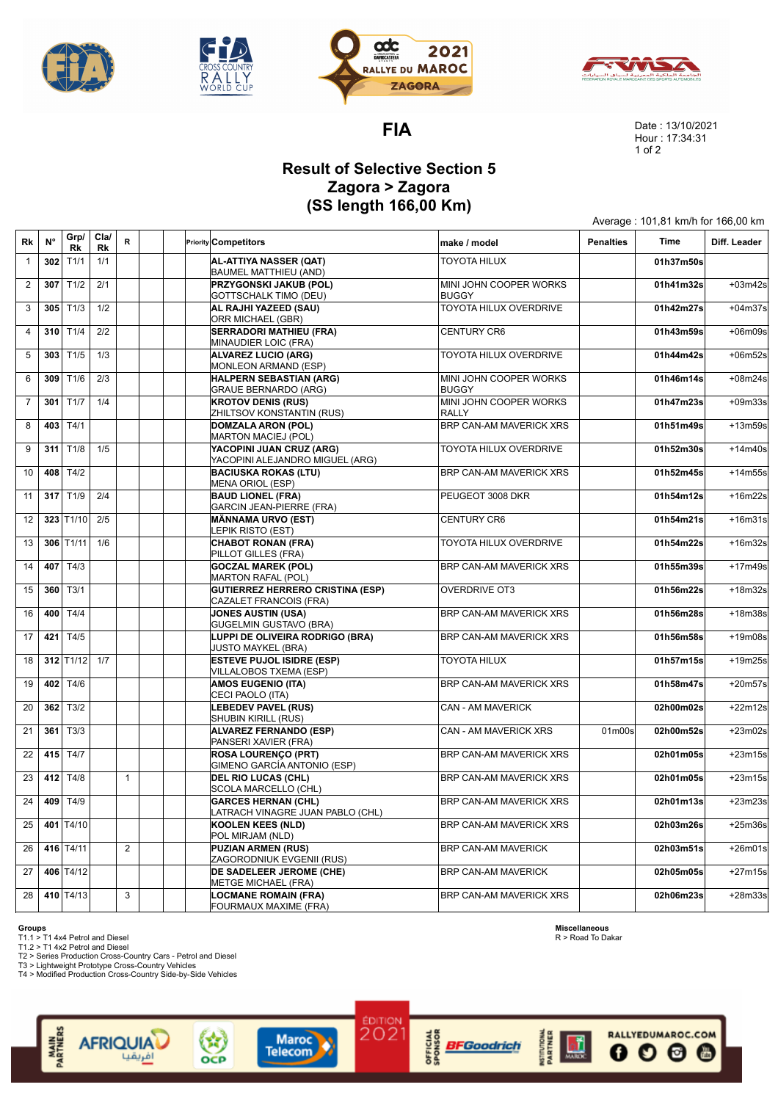







**FIA**

Date : 13/10/2021 Hour : 17:34:31 1 of 2

Average : 101,81 km/h for 166,00 km

## **Result of Selective Section 5 Zagora > Zagora (SS length 166,00 Km)**

| Rk             | $N^{\circ}$ | Grp/<br>Rk              | Cla/<br>Rk | $\mathsf R$  |  | <b>Priority Competitors</b>                                       | make / model                           | <b>Penalties</b>                | Time      | Diff. Leader |
|----------------|-------------|-------------------------|------------|--------------|--|-------------------------------------------------------------------|----------------------------------------|---------------------------------|-----------|--------------|
| $\mathbf{1}$   |             | $302$ T <sub>1/1</sub>  | 1/1        |              |  | AL-ATTIYA NASSER (QAT)<br><b>BAUMEL MATTHIEU (AND)</b>            | <b>TOYOTA HILUX</b>                    |                                 | 01h37m50s |              |
| $\overline{2}$ | 307         | T1/2                    | 2/1        |              |  | PRZYGONSKI JAKUB (POL)<br><b>GOTTSCHALK TIMO (DEU)</b>            | MINI JOHN COOPER WORKS<br><b>BUGGY</b> |                                 | 01h41m32s | $+03m42s$    |
| $\mathbf{3}$   |             | $305$ T <sub>1/3</sub>  | 1/2        |              |  | AL RAJHI YAZEED (SAU)<br>ORR MICHAEL (GBR)                        | TOYOTA HILUX OVERDRIVE                 |                                 | 01h42m27s | $+04m37s$    |
| $\overline{4}$ |             | 310 $T1/4$              | 2/2        |              |  | <b>SERRADORI MATHIEU (FRA)</b><br>MINAUDIER LOIC (FRA)            | <b>CENTURY CR6</b>                     |                                 | 01h43m59s | $+06m09s$    |
| 5              | 303         | T1/5                    | 1/3        |              |  | <b>ALVAREZ LUCIO (ARG)</b><br>MONLEON ARMAND (ESP)                | TOYOTA HILUX OVERDRIVE                 |                                 | 01h44m42s | $+06m52s$    |
| 6              |             | $309$ T <sub>1/6</sub>  | 2/3        |              |  | HALPERN SEBASTIAN (ARG)<br><b>GRAUE BERNARDO (ARG)</b>            | MINI JOHN COOPER WORKS<br><b>BUGGY</b> |                                 | 01h46m14s | $+08m24s$    |
| $\overline{7}$ | 301         | T1/7                    | 1/4        |              |  | <b>KROTOV DENIS (RUS)</b><br>ZHILTSOV KONSTANTIN (RUS)            | MINI JOHN COOPER WORKS<br><b>RALLY</b> |                                 | 01h47m23s | $+09m33s$    |
| 8              |             | 403 T4/1                |            |              |  | <b>DOMZALA ARON (POL)</b><br>MARTON MACIEJ (POL)                  | BRP CAN-AM MAVERICK XRS                |                                 | 01h51m49s | $+13m59s$    |
| 9              |             | $311$ T1/8              | 1/5        |              |  | YACOPINI JUAN CRUZ (ARG)<br>YACOPINI ALEJANDRO MIGUEL (ARG)       | TOYOTA HILUX OVERDRIVE                 |                                 | 01h52m30s | $+14m40s$    |
| 10             |             | 408 T4/2                |            |              |  | <b>BACIUSKA ROKAS (LTU)</b><br>MENA ORIOL (ESP)                   | BRP CAN-AM MAVERICK XRS                |                                 | 01h52m45s | $+14m55s$    |
| 11             |             | 317 $T1/9$              | 2/4        |              |  | <b>BAUD LIONEL (FRA)</b><br>GARCIN JEAN-PIERRE (FRA)              | PEUGEOT 3008 DKR                       |                                 | 01h54m12s | $+16m22s$    |
| 12             |             | $323$ T <sub>1/10</sub> | 2/5        |              |  | <b>MÄNNAMA URVO (EST)</b><br>LEPIK RISTO (EST)                    | <b>CENTURY CR6</b>                     |                                 | 01h54m21s | $+16m31s$    |
| 13             |             | $306$ T1/11             | 1/6        |              |  | <b>CHABOT RONAN (FRA)</b><br>PILLOT GILLES (FRA)                  | TOYOTA HILUX OVERDRIVE                 |                                 | 01h54m22s | +16m32s      |
| 14             |             | 407 $T4/3$              |            |              |  | <b>GOCZAL MAREK (POL)</b><br>MARTON RAFAL (POL)                   | <b>BRP CAN-AM MAVERICK XRS</b>         |                                 | 01h55m39s | $+17m49s$    |
| 15             |             | $360$ T <sub>3</sub> /1 |            |              |  | <b>GUTIERREZ HERRERO CRISTINA (ESP)</b><br>CAZALET FRANCOIS (FRA) | <b>OVERDRIVE OT3</b>                   |                                 | 01h56m22s | +18m32s      |
| 16             |             | 400 T4/4                |            |              |  | <b>JONES AUSTIN (USA)</b><br><b>GUGELMIN GUSTAVO (BRA)</b>        | BRP CAN-AM MAVERICK XRS                |                                 | 01h56m28s | +18m38s      |
| 17             | 421         | T4/5                    |            |              |  | LUPPI DE OLIVEIRA RODRIGO (BRA)<br><b>JUSTO MAYKEL (BRA)</b>      | BRP CAN-AM MAVERICK XRS                |                                 | 01h56m58s | +19m08s      |
| 18             |             | $312$ T <sub>1/12</sub> | 1/7        |              |  | <b>ESTEVE PUJOL ISIDRE (ESP)</b><br>VILLALOBOS TXEMA (ESP)        | <b>TOYOTA HILUX</b>                    |                                 | 01h57m15s | +19m25s      |
| 19             |             | 402 $T4/6$              |            |              |  | <b>AMOS EUGENIO (ITA)</b><br>CECI PAOLO (ITA)                     | BRP CAN-AM MAVERICK XRS                |                                 | 01h58m47s | $+20m57s$    |
| 20             |             | $362$ T <sub>3</sub> /2 |            |              |  | <b>LEBEDEV PAVEL (RUS)</b><br>SHUBIN KIRILL (RUS)                 | CAN - AM MAVERICK                      |                                 | 02h00m02s | +22m12s      |
| 21             |             | $361$ T <sub>3</sub> /3 |            |              |  | <b>ALVAREZ FERNANDO (ESP)</b><br>PANSERI XAVIER (FRA)             | <b>CAN - AM MAVERICK XRS</b>           | 01 <sub>m</sub> 00 <sub>s</sub> | 02h00m52s | $+23m02s$    |
| 22             |             | 415 T4/7                |            |              |  | <b>ROSA LOURENCO (PRT)</b><br>GIMENO GARCÍA ANTONIO (ESP)         | BRP CAN-AM MAVERICK XRS                |                                 | 02h01m05s | $+23m15s$    |
| 23             |             | 412 $T4/8$              |            | $\mathbf{1}$ |  | <b>DEL RIO LUCAS (CHL)</b><br>SCOLA MARCELLO (CHL)                | BRP CAN-AM MAVERICK XRS                |                                 | 02h01m05s | $+23m15s$    |
| 24             | 409         | T4/9                    |            |              |  | <b>GARCES HERNAN (CHL)</b><br>LATRACH VINAGRE JUAN PABLO (CHL)    | BRP CAN-AM MAVERICK XRS                |                                 | 02h01m13s | $+23m23s$    |
| 25             |             | 401 T4/10               |            |              |  | <b>KOOLEN KEES (NLD)</b><br>POL MIRJAM (NLD)                      | BRP CAN-AM MAVERICK XRS                |                                 | 02h03m26s | $+25m36s$    |
| 26             |             | 416 T4/11               |            | 2            |  | <b>PUZIAN ARMEN (RUS)</b><br>ZAGORODNIUK EVGENII (RUS)            | <b>BRP CAN-AM MAVERICK</b>             |                                 | 02h03m51s | $+26m01s$    |
| 27             |             | 406 T4/12               |            |              |  | DE SADELEER JEROME (CHE)<br><b>METGE MICHAEL (FRA)</b>            | <b>BRP CAN-AM MAVERICK</b>             |                                 | 02h05m05s | +27m15s      |
| 28             |             | 410 $T4/13$             |            | 3            |  | <b>LOCMANE ROMAIN (FRA)</b><br>FOURMAUX MAXIME (FRA)              | BRP CAN-AM MAVERICK XRS                |                                 | 02h06m23s | +28m33s      |

**Groups** T1.1 > T1 4x4 Petrol and Diesel T1.2 > T1 4x2 Petrol and Diesel

**MAIN**<br>PARTNERS

T2 > Series Production Cross-Country Cars - Petrol and Diesel T3 > Lightweight Prototype Cross-Country Vehicles T4 > Modified Production Cross-Country Side-by-Side Vehicles

**AFRIQUIAL** 

افريقيا

 $\left(\mathbf{x}\right)$ 

OCP



**Maroc** 

**Telecom** 

**OFFICIAL** 

**BFGoodrich** 

**Miscellaneous** R > Road To Dakar

RALLYEDUMAROC.COM

 $\Theta$ 

ö